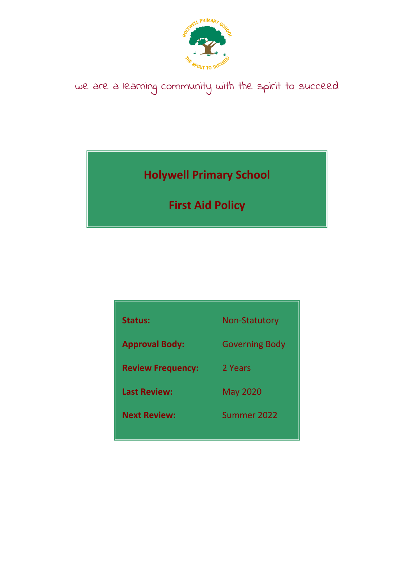

# we are a learning community with the spirit to succeed

**Holywell Primary School**

**First Aid Policy**

| Status:                  | <b>Non-Statutory</b>  |
|--------------------------|-----------------------|
| <b>Approval Body:</b>    | <b>Governing Body</b> |
| <b>Review Frequency:</b> | 2 Years               |
| <b>Last Review:</b>      | <b>May 2020</b>       |
| <b>Next Review:</b>      | Summer 2022           |
|                          |                       |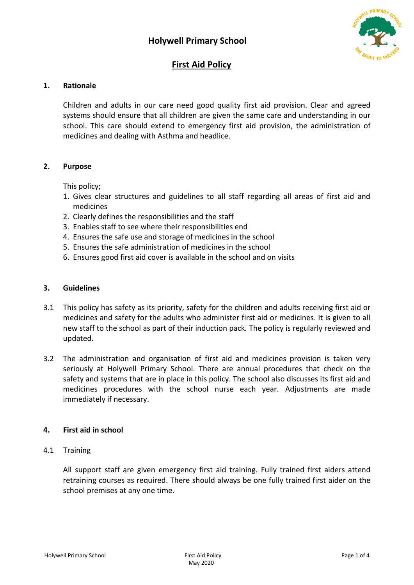

## **First Aid Policy**

## **1. Rationale**

Children and adults in our care need good quality first aid provision. Clear and agreed systems should ensure that all children are given the same care and understanding in our school. This care should extend to emergency first aid provision, the administration of medicines and dealing with Asthma and headlice.

## **2. Purpose**

This policy;

- 1. Gives clear structures and guidelines to all staff regarding all areas of first aid and medicines
- 2. Clearly defines the responsibilities and the staff
- 3. Enables staff to see where their responsibilities end
- 4. Ensures the safe use and storage of medicines in the school
- 5. Ensures the safe administration of medicines in the school
- 6. Ensures good first aid cover is available in the school and on visits

## **3. Guidelines**

- 3.1 This policy has safety as its priority, safety for the children and adults receiving first aid or medicines and safety for the adults who administer first aid or medicines. It is given to all new staff to the school as part of their induction pack. The policy is regularly reviewed and updated.
- 3.2 The administration and organisation of first aid and medicines provision is taken very seriously at Holywell Primary School. There are annual procedures that check on the safety and systems that are in place in this policy. The school also discusses its first aid and medicines procedures with the school nurse each year. Adjustments are made immediately if necessary.

## **4. First aid in school**

4.1 Training

All support staff are given emergency first aid training. Fully trained first aiders attend retraining courses as required. There should always be one fully trained first aider on the school premises at any one time.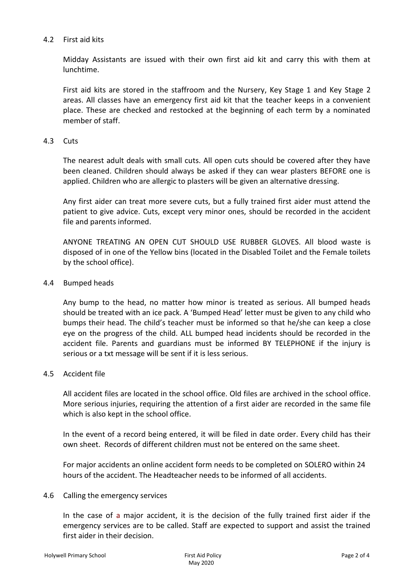## 4.2 First aid kits

Midday Assistants are issued with their own first aid kit and carry this with them at lunchtime.

First aid kits are stored in the staffroom and the Nursery, Key Stage 1 and Key Stage 2 areas. All classes have an emergency first aid kit that the teacher keeps in a convenient place. These are checked and restocked at the beginning of each term by a nominated member of staff.

#### 4.3 Cuts

The nearest adult deals with small cuts. All open cuts should be covered after they have been cleaned. Children should always be asked if they can wear plasters BEFORE one is applied. Children who are allergic to plasters will be given an alternative dressing.

Any first aider can treat more severe cuts, but a fully trained first aider must attend the patient to give advice. Cuts, except very minor ones, should be recorded in the accident file and parents informed.

ANYONE TREATING AN OPEN CUT SHOULD USE RUBBER GLOVES. All blood waste is disposed of in one of the Yellow bins (located in the Disabled Toilet and the Female toilets by the school office).

#### 4.4 Bumped heads

Any bump to the head, no matter how minor is treated as serious. All bumped heads should be treated with an ice pack. A 'Bumped Head' letter must be given to any child who bumps their head. The child's teacher must be informed so that he/she can keep a close eye on the progress of the child. ALL bumped head incidents should be recorded in the accident file. Parents and guardians must be informed BY TELEPHONE if the injury is serious or a txt message will be sent if it is less serious.

#### 4.5 Accident file

All accident files are located in the school office. Old files are archived in the school office. More serious injuries, requiring the attention of a first aider are recorded in the same file which is also kept in the school office.

In the event of a record being entered, it will be filed in date order. Every child has their own sheet. Records of different children must not be entered on the same sheet.

For major accidents an online accident form needs to be completed on SOLERO within 24 hours of the accident. The Headteacher needs to be informed of all accidents.

#### 4.6 Calling the emergency services

In the case of a major accident, it is the decision of the fully trained first aider if the emergency services are to be called. Staff are expected to support and assist the trained first aider in their decision.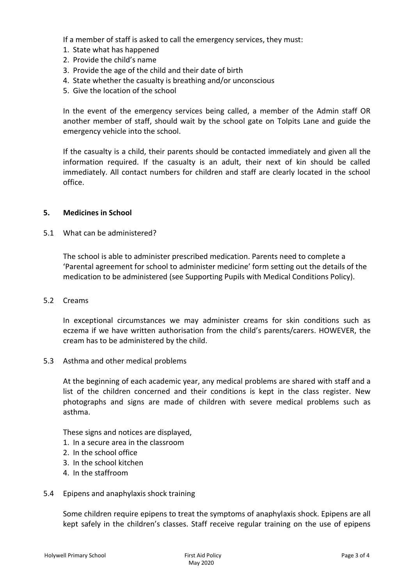If a member of staff is asked to call the emergency services, they must:

- 1. State what has happened
- 2. Provide the child's name
- 3. Provide the age of the child and their date of birth
- 4. State whether the casualty is breathing and/or unconscious
- 5. Give the location of the school

In the event of the emergency services being called, a member of the Admin staff OR another member of staff, should wait by the school gate on Tolpits Lane and guide the emergency vehicle into the school.

If the casualty is a child, their parents should be contacted immediately and given all the information required. If the casualty is an adult, their next of kin should be called immediately. All contact numbers for children and staff are clearly located in the school office.

#### **5. Medicines in School**

## 5.1 What can be administered?

The school is able to administer prescribed medication. Parents need to complete a 'Parental agreement for school to administer medicine' form setting out the details of the medication to be administered (see Supporting Pupils with Medical Conditions Policy).

#### 5.2 Creams

In exceptional circumstances we may administer creams for skin conditions such as eczema if we have written authorisation from the child's parents/carers. HOWEVER, the cream has to be administered by the child.

5.3 Asthma and other medical problems

At the beginning of each academic year, any medical problems are shared with staff and a list of the children concerned and their conditions is kept in the class register. New photographs and signs are made of children with severe medical problems such as asthma.

These signs and notices are displayed,

- 1. In a secure area in the classroom
- 2. In the school office
- 3. In the school kitchen
- 4. In the staffroom
- 5.4 Epipens and anaphylaxis shock training

Some children require epipens to treat the symptoms of anaphylaxis shock. Epipens are all kept safely in the children's classes. Staff receive regular training on the use of epipens